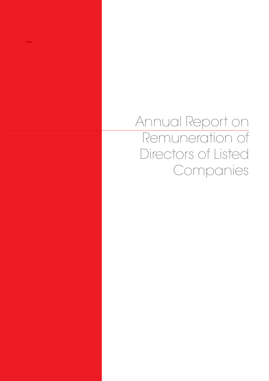Annual Report on Remuneration of Directors of Listed Companies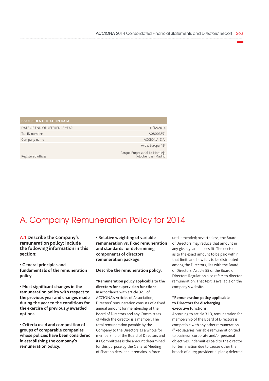| <b>ISSUER IDENTIFICATION DATA</b> |                                                       |
|-----------------------------------|-------------------------------------------------------|
| DATE OF END OF REFERENCE YEAR     | 31/12/2014                                            |
| Tax ID number:                    | A08001851                                             |
| Company name                      | ACCIONA, S.A.                                         |
|                                   | Avda. Europa, 18.                                     |
| Registered offices                | Parque Empresarial La Moraleja<br>Alcobendas) Madrid) |

# A. Company Remuneration Policy for 2014

**A.1 Describe the Company's remuneration policy: Include the following information in this section:**

**• General principles and fundamentals of the remuneration policy.**

**• Most significant changes in the remuneration policy with respect to the previous year and changes made during the year to the conditions for the exercise of previously awarded options.**

**• Criteria used and composition of groups of comparable companies whose policies have been considered in establishing the company's remuneration policy.**

**• Relative weighting of variable remuneration vs. fixed remuneration and standards for determining components of directors' remuneration package.**

#### **Describe the remuneration policy.**

**\*Remuneration policy applicable to the directors for supervision functions.** In accordance with article 32.1 of ACCIONA's Articles of Association, Directors' remuneration consists of a fixed annual amount for membership of the Board of Directors and any Committees of which the director is a member. The total remuneration payable by the Company to the Directors as a whole for membership of the Board of Directors and its Committees is the amount determined for this purpose by the General Meeting of Shareholders, and it remains in force

until amended; nevertheless, the Board of Directors may reduce that amount in any given year if it sees fit. The decision as to the exact amount to be paid within that limit, and how it is to be distributed among the Directors, lies with the Board of Directors. Article 55 of the Board of Directors Regulation also refers to director remuneration. That text is available on the company's website.

#### **\*Remuneration policy applicable to Directors for discharging executive functions.**

According to article 31.3, remuneration for membership of the Board of Directors is compatible with any other remuneration (fixed salaries; variable remuneration tied to business, corporate and/or personal objectives; indemnities paid to the director for termination due to causes other than breach of duty; providential plans; deferred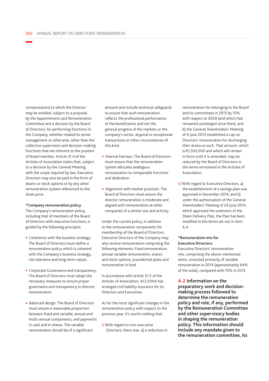compensation) to which the Director may be entitled, subject to a proposal by the Appointments and Remuneration Committee and a decision by the Board of Directors, for performing functions in the Company, whether related to senior management or otherwise, other than the collective supervision and decision-making functions that are inherent to the position of Board member. Article 31.4 of the Articles of Association states that, subject to a decision by the General Meeting with the scope required by law, Executive Directors may also be paid in the form of shares or stock options or by any other remuneration system referenced to the share price.

#### **\*Company remuneration policy.**

The Company's remuneration policy, including that of members of the Board of Directors with executive functions, is guided by the following principles:

- Coherence with the business strategy: The Board of Directors must define a remuneration policy which is coherent with the Company's business strategy, risk tolerance and long-term values.
- Corporate Governance and transparency: The Board of Directors must adopt the necessary measures to ensure proper governance and transparency in director remuneration.
- Balanced design: The Board of Directors must ensure a reasonable proportion between fixed and variable, annual and multi-annual components, and payments in cash and in shares. The variable remuneration should be of a significant

amount and include technical safeguards to ensure that such remuneration reflects the professional performance of the beneficiaries and not the general progress of the markets or the company's sector, atypical or exceptional transactions or other circumstances of this kind.

- Internal Fairness: The Board of Directors must ensure that the remuneration system allocates analogous remuneration to comparable functions and dedication.
- Alignment with market practices: The Board of Directors must ensure the director remuneration is moderate and aligned with remuneration at other companies of a similar size and activity.

Under the current policy, in addition to the remuneration components for membership of the Board of Directors, Executive Directors of the Company may also receive remuneration comprising the following elements: Fixed remuneration, annual variable remuneration, shares and stock options, providential plans and remuneration in kind.

In accordance with article 31.5 of the Articles of Association, ACCIONA has arranged civil liability insurance for its Directors and Executives.

As for the most significant changes in the remuneration policy with respect to the previous year, it's worth nothing that:

i) With regard to non-executive Directors, there was: a) a reduction in remuneration for belonging to the Board and its committees in 2013 by 10% with respect to 2009 (and which had remained unchanged since then), and b) the General Shareholders' Meeting of 6 June 2013 established a cap on Directors' remuneration for discharging their duties as such. That amount, which is €1,503,000 and which will remain in force until it is amended, may be reduced by the Board of Directors in the terms envisioned in the Articles of Association.

ii) With regard to Executive Directors, a) the establishment of a savings plan was approved in December 2014, and b) under the authorisation of the General Shareholders' Meeting of 24 June 2014, which approved the extension of the Share Delivery Plan, the Plan has been modified in the terms set out in item  $\Delta$   $\Delta$ 

#### **\*Remuneration mix for Executive Directors.**

Executive Directors' remuneration mix, comprising the above-mentioned items, consisted primarily of variable remuneration in 2014 (approximately 64% of the total), compared with 70% in 2013.

**A.2 Information on the preparatory work and decisionmaking process followed to determine the remuneration policy and role, if any, performed by the Remuneration Committee and other supervisory bodies in shaping the remuneration policy. This information should include any mandate given to the remuneration committee, its**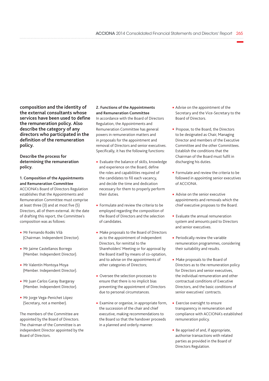**composition and the identity of the external consultants whose services have been used to define the remuneration policy. Also describe the category of any directors who participated in the definition of the remuneration policy.**

**Describe the process for determining the remuneration policy.**

### **1. Composition of the Appointments and Remuneration Committee**

ACCIONA's Board of Directors Regulation establishes that the Appointments and Remuneration Committee must comprise at least three (3) and at most five (5) Directors, all of them external. At the date of drafting this report, the Committee's composition was as follows:

- Mr Fernando Rodés Vilà (Chairman. Independent Director).
- Mr Jaime Castellanos Borrego (Member. Independent Director).
- Mr Valentín Montoya Moya (Member. Independent Director).
- Mr Juan Carlos Garay Ibargaray (Member. Independent Director).
- Mr Jorge Vega-Penichet López (Secretary, not a member).

The members of the Committee are appointed by the Board of Directors. The chairman of the Committee is an independent Director appointed by the Board of Directors.

### **2. Functions of the Appointments and Remuneration Committee**

In accordance with the Board of Directors Regulation, the Appointments and Remuneration Committee has general powers in remuneration matters and in proposals for the appointment and removal of Directors and senior executives. Specifically, it has the following functions:

- Evaluate the balance of skills, knowledge and experience on the Board, define the roles and capabilities required of the candidates to fill each vacancy, and decide the time and dedication necessary for them to properly perform their duties.
- Formulate and review the criteria to be employed regarding the composition of the Board of Directors and the selection of candidates.
- Make proposals to the Board of Directors as to the appointment of independent Directors, for remittal to the Shareholders' Meeting or for approval by the Board itself by means of co-optation, and to advise on the appointments of other categories of Directors;
- Oversee the selection processes to ensure that there is no implicit bias preventing the appointment of Directors due to personal circumstances.
- Examine or organise, in appropriate form, the succession of the chair and chief executive, making recommendations to the Board so that the handover proceeds in a planned and orderly manner.
- Advise on the appointment of the Secretary and the Vice-Secretary to the Board of Directors.
- Propose, to the Board, the Directors to be designated as Chair, Managing Director and members of the Executive Committee and the other Committees. Establish the conditions that the Chairman of the Board must fulfil in discharging his duties.
- Formulate and review the criteria to be followed in appointing senior executives of ACCIONA.
- Advise on the senior executive appointments and removals which the chief executive proposes to the Board.
- Evaluate the annual remuneration system and amounts paid to Directors and senior executives.
- Periodically review the variable remuneration programmes, considering their suitability and results.
- Make proposals to the Board of Directors as to the remuneration policy for Directors and senior executives, the individual remuneration and other contractual conditions of Executive Directors, and the basic conditions of senior executives' contracts.
- Exercise oversight to ensure transparency in remuneration and compliance with ACCIONA's established remuneration policy.
- Be apprised of and, if appropriate, authorise transactions with related parties as provided in the Board of Directors Regulation.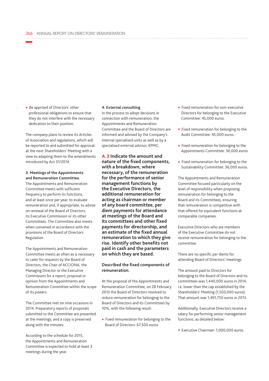• Be apprised of Directors' other professional obligations to ensure that they do not interfere with the necessary dedication to their position.

The company plans to review its Articles of Association and regulations, which will be reported to and submitted for approval at the next Shareholders' Meeting with a view to adapting them to the amendments introduced by Act 31/2014.

#### **3. Meetings of the Appointments and Remuneration Committee.**

The Appointments and Remuneration Committee meets with sufficient frequency to perform its functions, and at least once per year, to evaluate remuneration and, if appropriate, to advise on renewal of the Board of Directors, its Executive Commission or its other Committees. The Committee also meets when convened in accordance with the provisions of the Board of Directors Regulation.

The Appointments and Remuneration Committee meets as often as is necessary to cater for requests by the Board of Directors, the Chair of ACCIONA, the Managing Director or the Executive Commission for a report, proposal or opinion from the Appointments and Remuneration Committee within the scope of its powers.

The Committee met on nine occasions in 2014. Preparatory reports of proposals submitted to the Committee are presented at the meetings, and a copy is preserved along with the minutes.

According to the schedule for 2015, the Appointments and Remuneration Committee is expected to hold at least 3 meetings during the year.

#### **4. External consulting**

In the process to adopt decisions in connection with remuneration, the Appointments and Remuneration Committee and the Board of Directors are informed and advised by the Company's internal specialised units as well as by a specialised external advisor, KPMG.

**A.3 Indicate the amount and nature of the fixed components, with a breakdown, where necessary, of the remuneration for the performance of senior management functions by the Executive Directors, the additional remuneration for acting as chairman or member of any board committee, per diem payments for attendance at meetings of the Board and its committees and other fixed payments for directorship, and an estimate of the fixed annual remuneration to which they give rise. Identify other benefits not paid in cash and the parameters on which they are based.**

#### **Described the fixed components of remuneration.**

At the proposal of the Appointments and Remuneration Committee, on 28 February 2013 the Board of Directors resolved to reduce remuneration for belonging to the Board of Directors and its Committees by 10%, with the following result:

• Fixed remuneration for belonging to the Board of Directors: 67,500 euros.

- Fixed remuneration for non-executive Directors for belonging to the Executive Committee: 45,000 euros.
- Fixed remuneration for belonging to the Audit Committee: 45,000 euros.
- Fixed remuneration for belonging to the Appointments Committee: 36,000 euros.
- Fixed remuneration for belonging to the Sustainability Committee: 36,000 euros.

The Appointments and Remuneration Committee focused particularly on the level of responsibility when proposing remuneration for belonging to the Board and its Committees, ensuring that remuneration is competitive with that offered for equivalent functions at comparable companies.

Executive Directors who are members of the Executive Committee do not receive remuneration for belonging to the committee.

There are no specific per diems for attending Board of Directors' meetings.

The amount paid to Directors for belonging to the Board of Directors and its committees was 1,440,000 euros in 2014, i.e. lower than the cap established by the Shareholders' Meeting (1,503,000 euros). That amount was 1,491,750 euros in 2013.

Additionally, Executive Directors receive a salary for performing senior management functions, as detailed below:

• Executive Chairman: 1,000,000 euros.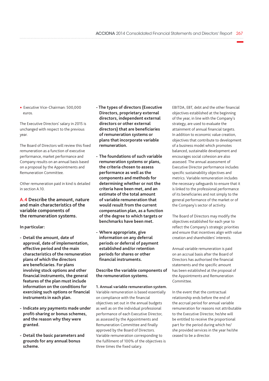• Executive Vice-Chairman: 500,000 euros.

The Executive Directors' salary in 2015 is unchanged with respect to the previous year.

The Board of Directors will review this fixed remuneration as a function of executive performance, market performance and Company results on an annual basis based on a proposal by the Appointments and Remuneration Committee.

Other remuneration paid in kind is detailed in section A.10.

**A.4 Describe the amount, nature and main characteristics of the variable components of the remuneration systems.**

#### **In particular:**

- **- Detail the amount, date of approval, date of implementation, effective period and the main characteristics of the remuneration plans of which the directors are beneficiaries. For plans involving stock options and other financial instruments, the general features of the plan must include information on the conditions for exercising such options or financial instruments in each plan.**
- **- Indicate any payments made under profit-sharing or bonus schemes, and the reason why they were granted.**
- **- Detail the basic parameters and grounds for any annual bonus scheme.**
- **The types of directors (Executive Directors, proprietary external directors, independent external directors or other external directors) that are beneficiaries of remuneration systems or plans that incorporate variable remuneration.**
- **- The foundations of such variable remuneration systems or plans, the criteria chosen to assess performance as well as the components and methods for determining whether or not the criteria have been met, and an estimate of the total amount of variable remuneration that would result from the current compensation plan, as a function of the degree to which targets or benchmarks have been met.**
- **- Where appropriate, give information on any deferral periods or deferral of payment established and/or retention periods for shares or other financial instruments.**

#### **Describe the variable components of the remuneration systems.**

**1. Annual variable remuneration system.** Variable remuneration is based essentially on compliance with the financial objectives set out in the annual budgets as well as on the individual professional performance of each Executive Director, as assessed by the Appointments and Remuneration Committee and finally approved by the Board of Directors. Variable remuneration corresponding to the fulfilment of 100% of the objectives is three times the fixed salary.

EBITDA, EBT, debt and the other financial objectives established at the beginning of the year, in line with the Company's strategy, are used to evaluate the attainment of annual financial targets. In addition to economic value creation, objectives that contribute to development of a business model which promotes balanced, sustainable development and encourages social cohesion are also assessed. The annual assessment of Executive Director performance includes specific sustainability objectives and metrics. Variable remuneration includes the necessary safeguards to ensure that it is linked to the professional performance of its beneficiaries and not simply to the general performance of the market or of the Company's sector of activity.

The Board of Directors may modify the objectives established for each year to reflect the Company's strategic priorities and ensure that incentives align with value creation and shareholders' interests.

Annual variable remuneration is paid on an accrual basis after the Board of Directors has authorised the financial statements and the specific amount has been established at the proposal of the Appointments and Remuneration Committee.

In the event that the contractual relationship ends before the end of the accrual period for annual variable remuneration for reasons not attributable to the Executive Director, he/she will be entitled to receive the proportional part for the period during which he/ she provided services in the year he/she ceased to be a director.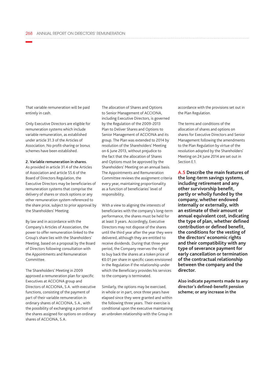That variable remuneration will be paid entirely in cash.

Only Executive Directors are eligible for remuneration systems which include variable remuneration, as established under article 31.3 of the Articles of Association. No profit-sharing or bonus schemes have been established.

#### **2. Variable remuneration in shares.**

As provided in article 31.4 of the Articles of Association and article 55.6 of the Board of Directors Regulation, the Executive Directors may be beneficiaries of remuneration systems that comprise the delivery of shares or stock options or any other remuneration system referenced to the share price, subject to prior approval by the Shareholders' Meeting.

By law and in accordance with the Company's Articles of Association, the power to offer remuneration linked to the Group's share lies with the Shareholders' Meeting, based on a proposal by the Board of Directors following consultation with the Appointments and Remuneration Committee.

The Shareholders' Meeting in 2009 approved a remuneration plan for specific Executives at ACCIONA group and Directors of ACCIONA, S.A. with executive functions, consisting of the payment of part of their variable remuneration in ordinary shares of ACCIONA, S.A., with the possibility of exchanging a portion of the shares assigned for options on ordinary shares of ACCIONA, S.A.

The allocation of Shares and Options to Senior Management of ACCIONA, including Executive Directors, is governed by the Regulation of the 2009-2013 Plan to Deliver Shares and Options to Senior Management of ACCIONA and its group. The Plan was extended to 2014 by resolution of the Shareholders' Meeting on 6 June 2013, without prejudice to the fact that the allocation of Shares and Options must be approved by the Shareholders' Meeting on an annual basis. The Appointments and Remuneration Committee reviews the assignment criteria every year, maintaining proportionality as a function of beneficiaries' level of responsibility.

With a view to aligning the interests of beneficiaries with the company's long-term performance, the shares must be held for at least 3 years. Accordingly, Executive Directors may not dispose of the shares until the third year after the year they were delivered, although they are entitled to receive dividends. During that three-year period, the Company reserves the right to buy back the shares at a token price of €0.01 per share in specific cases envisioned in the Regulation if the relationship under which the Beneficiary provides his services to the company is terminated.

Similarly, the options may be exercised, in whole or in part, once three years have elapsed since they were granted and within the following three years. Their exercise is conditional upon the executive maintaining an unbroken relationship with the Group in

accordance with the provisions set out in the Plan Regulation.

The terms and conditions of the allocation of shares and options on shares for Executive Directors and Senior Management following the amendments to the Plan Regulation by virtue of the resolution adopted by the Shareholders' Meeting on 24 June 2014 are set out in Section E.1.

**A.5 Describe the main features of the long-term savings systems, including retirement and any other survivorship benefit, partly or wholly funded by the company, whether endowed internally or externally, with an estimate of their amount or annual equivalent cost, indicating the type of plan, whether defined contribution or defined benefit, the conditions for the vesting of the directors' economic rights and their compatibility with any type of severance payment for early cancellation or termination of the contractual relationship between the company and the director.**

**Also indicate payments made to any director's defined-benefit pension scheme; or any increase in the**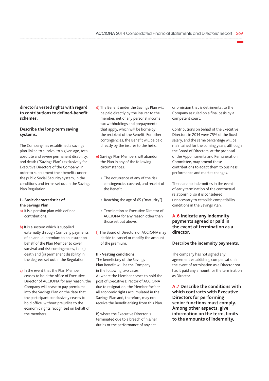### **director's vested rights with regard to contributions to defined-benefit schemes.**

#### **Describe the long-term saving systems.**

The Company has established a savings plan linked to survival to a given age, total, absolute and severe permanent disability, and death ("Savings Plan") exclusively for Executive Directors of the Company, in order to supplement their benefits under the public Social Security system, in the conditions and terms set out in the Savings Plan Regulation.

#### **I.- Basic characteristics of the Savings Plan.**

- a) It is a pension plan with defined contributions.
- b) It is a system which is supplied externally through Company payments of an annual premium to an insurer on behalf of the Plan Member to cover survival and risk contingencies, i.e.: (i) death and (ii) permanent disability in the degrees set out in the Regulation.
- c) In the event that the Plan Member ceases to hold the office of Executive Director of ACCIONA for any reason, the Company will cease to pay premiums into the Savings Plan on the date that the participant conclusively ceases to hold office, without prejudice to the economic rights recognised on behalf of the members.
- d) The Benefit under the Savings Plan will be paid directly by the insurer to the member, net of any personal income tax withholdings and prepayments that apply, which will be borne by the recipient of the Benefit. For other contingencies, the Benefit will be paid directly by the insurer to the heirs.
- e) Savings Plan Members will abandon the Plan in any of the following circumstances:
	- The occurrence of any of the risk contingencies covered, and receipt of the Benefit.
	- Reaching the age of 65 ("maturity").
	- Termination as Executive Director of ACCIONA for any reason other than those set out above.
- f) The Board of Directors of ACCIONA may decide to cancel or modify the amount of the premium.

#### **II.- Vesting conditions.**

The beneficiary of the Savings Plan Benefit will be the Company in the following two cases: A) where the Member ceases to hold the post of Executive Director of ACCIONA due to resignation, the Member forfeits all economic rights accumulated in the Savings Plan and, therefore, may not receive the Benefit arising from this Plan.

B) where the Executive Director is terminated due to a breach of his/her duties or the performance of any act

or omission that is detrimental to the Company as ruled on a final basis by a competent court.

Contributions on behalf of the Executive Directors in 2014 were 75% of the fixed salary, and the same percentage will be maintained for the coming years, although the Board of Directors, at the proposal of the Appointments and Remuneration Committee, may amend these contributions to adapt them to business performance and market changes.

There are no indemnities in the event of early termination of the contractual relationship, so it is considered unnecessary to establish compatibility conditions in the Savings Plan.

### **A.6 Indicate any indemnity payments agreed or paid in the event of termination as a director.**

#### **Describe the indemnity payments.**

The company has not signed any agreement establishing compensation in the event of termination as a Director nor has it paid any amount for the termination as Director.

**A.7 Describe the conditions with which contracts with Executive Directors for performing senior functions must comply. Among other aspects, give information on the term, limits to the amounts of indemnity,**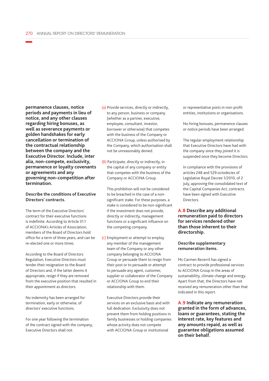**permanence clauses, notice periods and payments in lieu of notice, and any other clauses regarding hiring bonuses, as well as severance payments or golden handshakes for early cancellation or termination of the contractual relationship between the company and the Executive Director. Include, inter alia, non-compete, exclusivity, permanence or loyalty covenants or agreements and any governing non-competition after termination.**

#### **Describe the conditions of Executive Directors' contracts.**

The term of the Executive Directors' contract for their executive functions is indefinite. According to Article 31.1 of ACCIONA's Articles of Association, members of the Board of Directors hold office for a term of three years, and can be re-elected one or more times.

According to the Board of Directors Regulation, Executive Directors must tender their resignation to the Board of Directors and, if the latter deems it appropriate, resign if they are removed from the executive position that resulted in their appointment as directors.

No indemnity has been arranged for termination, early or otherwise, of directors' executive functions.

For one year following the termination of the contract signed with the company, Executive Directors shall not:

- (a) Provide services, directly or indirectly, to any person, business or company (whether as a partner, executive, employee, consultant, investor, borrower or otherwise) that competes with the business of the Company or ACCIONA Group, unless authorised by the Company, which authorisation shall not be unreasonably denied.
- (B) Participate, directly or indirectly, in the capital of any company or entity that competes with the business of the Company or ACCIONA Group.

This prohibition will not be considered to be breached in the case of a nonsignificant stake. For these purposes, a stake is considered to be non-significant if the investment does not provide, directly or indirectly, management functions or a significant influence on the competing company.

(c) Employment or attempt to employ any member of the management team of the Company or any other company belonging to ACCIONA Group or persuade them to resign from their post or to persuade or attempt to persuade any agent, customer, supplier or collaborator of the Company or ACCIONA Group to end their relationship with them.

Executive Directors provide their services on an exclusive basis and with full dedication. Exclusivity does not prevent them from holding positions in family businesses or holding companies whose activity does not compete with ACCIONA Group or institutional

or representative posts in non-profit entities, institutions or organisations.

No hiring bonuses, permanence clauses or notice periods have been arranged.

The regular employment relationship that Executive Directors have had with the company since they joined it is suspended once they become Directors.

In compliance with the provisions of articles 248 and 529 octodecies of Legislative Royal Decree 1/2010, of 2 July, approving the consolidated text of the Capital Companies Act, contracts have been signed with Executive Directors.

**A.8 Describe any additional remuneration paid to directors for services rendered other than those inherent to their directorship.**

#### **Describe supplementary remuneration items.**

Ms Carmen Becerril has signed a contract to provide professional services to ACCIONA Group in the areas of sustainability, climate change and energy. Apart from that, the Directors have not received any remuneration other than that indicated in this report.

**A.9 Indicate any remuneration granted in the form of advances, loans or guarantees, stating the interest rate, key features and any amounts repaid, as well as guarantee obligations assumed on their behalf.**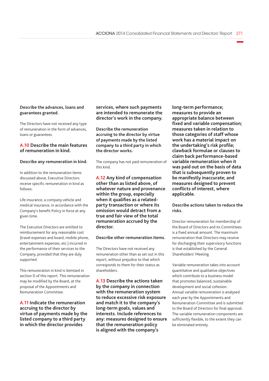#### **Describe the advances, loans and guarantees granted.**

The Directors have not received any type of remuneration in the form of advances, loans or guarantees.

#### **A.10 Describe the main features of remuneration in kind.**

#### **Describe any remuneration in kind.**

In addition to the remuneration items discussed above, Executive Directors receive specific remuneration in kind as follows:

Life insurance, a company vehicle and medical insurance, in accordance with the Company's benefit Policy in force at any given time.

The Executive Directors are entitled to reimbursement for any reasonable cost (travel expenses and board, mobile phone, entertainment expenses, etc.) incurred in the performance of their services to the Company, provided that they are duly supported.

This remuneration in kind is itemised in section D of this report. This remuneration may be modified by the Board, at the proposal of the Appointments and Remuneration Committee.

**A.11 Indicate the remuneration accruing to the director by virtue of payments made by the listed company to a third party in which the director provides** 

**services, where such payments are intended to remunerate the director's work in the company.**

**Describe the remuneration accruing to the director by virtue of payments made by the listed company to a third party in which the director works.**

The company has not paid remuneration of this kind.

**A.12 Any kind of compensation other than as listed above, of whatever nature and provenance within the group, especially when it qualifies as a relatedparty transaction or where its omission would detract from a true and fair view of the total remuneration accrued by the director.**

#### **Describe other remuneration items.**

The Directors have not received any remuneration other than as set out in this report, without prejudice to that which corresponds to them for their status as shareholders.

**A.13 Describe the actions taken by the company in connection with the remuneration system to reduce excessive risk exposure and match it to the company's long-term goals, values and interests. Include references to any: measures designed to ensure that the remuneration policy is aligned with the company's** 

**long-term performance; measures to provide an appropriate balance between fixed and variable compensation; measures taken in relation to those categories of staff whose work has a material impact on the undertaking's risk profile; clawback formulae or clauses to claim back performance-based variable remuneration when it was paid out on the basis of data that is subsequently proven to be manifestly inaccurate; and measures designed to prevent conflicts of interest, where applicable.**

**Describe actions taken to reduce the risks.**

Director remuneration for membership of the Board of Directors and its Committees is a fixed annual amount. The maximum remuneration that Directors may receive for discharging their supervisory functions is that established by the General Shareholders' Meeting.

Variable remuneration takes into account quantitative and qualitative objectives which contribute to a business model that promotes balanced, sustainable development and social cohesion. Annual variable remuneration is analysed each year by the Appointments and Remuneration Committee and is submitted to the Board of Directors for final approval. The variable remuneration components are sufficiently flexible, to the extent they can be eliminated entirely.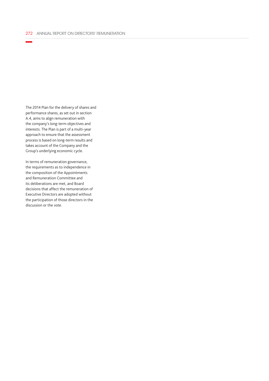The 2014 Plan for the delivery of shares and performance shares, as set out in section A.4, aims to align remuneration with the company's long-term objectives and interests. The Plan is part of a multi-year approach to ensure that the assessment process is based on long-term results and takes account of the Company and the Group's underlying economic cycle.

In terms of remuneration governance, the requirements as to independence in the composition of the Appointments and Remuneration Committee and its deliberations are met, and Board decisions that affect the remuneration of Executive Directors are adopted without the participation of those directors in the discussion or the vote.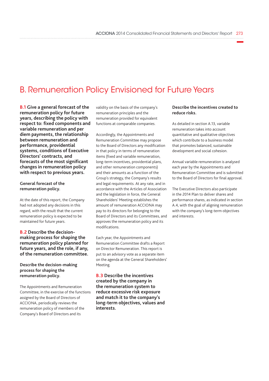# B. Remuneration Policy Envisioned for Future Years

**B.1 Give a general forecast of the remuneration policy for future years, describing the policy with respect to: fixed components and variable remuneration and per diem payments, the relationship between remuneration and performance, providential systems, conditions of Executive Directors' contracts, and forecasts of the most significant changes in remuneration policy with respect to previous years.**

#### **General forecast of the remuneration policy.**

At the date of this report, the Company had not adopted any decisions in this regard, with the result that the current remuneration policy is expected to be maintained for future years.

#### **B.2 Describe the decisionmaking process for shaping the remuneration policy planned for future years, and the role, if any, of the remuneration committee.**

#### **Describe the decision-making process for shaping the remuneration policy.**

The Appointments and Remuneration Committee, in the exercise of the functions assigned by the Board of Directors of ACCIONA, periodically reviews the remuneration policy of members of the Company's Board of Directors and its

validity on the basis of the company's remuneration principles and the remuneration provided for equivalent functions at comparable companies.

Accordingly, the Appointments and Remuneration Committee may propose to the Board of Directors any modification in that policy in terms of remuneration items (fixed and variable remuneration, long-term incentives, providential plans, and other remuneration components) and their amounts as a function of the Group's strategy, the Company's results and legal requirements. At any rate, and in accordance with the Articles of Association and the legislation in force, the General Shareholders' Meeting establishes the amount of remuneration ACCIONA may pay to its directors for belonging to the Board of Directors and its Committees, and approves the remuneration policy and its modifications.

Each year, the Appointments and Remuneration Committee drafts a Report on Director Remuneration. This report is put to an advisory vote as a separate item on the agenda at the General Shareholders' Meeting.

**B.3 Describe the incentives created by the company in the remuneration system to reduce excessive risk exposure and match it to the company's long-term objectives, values and interests.**

#### **Describe the incentives created to reduce risks.**

As detailed in section A.13, variable remuneration takes into account quantitative and qualitative objectives which contribute to a business model that promotes balanced, sustainable development and social cohesion.

Annual variable remuneration is analysed each year by the Appointments and Remuneration Committee and is submitted to the Board of Directors for final approval.

The Executive Directors also participate in the 2014 Plan to deliver shares and performance shares, as indicated in section A.4, with the goal of aligning remuneration with the company's long-term objectives and interests.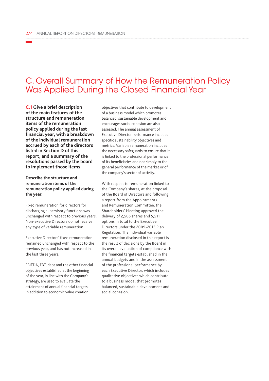# C. Overall Summary of How the Remuneration Policy Was Applied During the Closed Financial Year

**C.1 Give a brief description of the main features of the structure and remuneration items of the remuneration policy applied during the last financial year, with a breakdown of the individual remuneration accrued by each of the directors listed in Section D of this report, and a summary of the resolutions passed by the board to implement those items.**

#### **Describe the structure and remuneration items of the remuneration policy applied during the year.**

Fixed remuneration for directors for discharging supervisory functions was unchanged with respect to previous years. Non-executive Directors do not receive any type of variable remuneration.

Executive Directors' fixed remuneration remained unchanged with respect to the previous year, and has not increased in the last three years.

EBITDA, EBT, debt and the other financial objectives established at the beginning of the year, in line with the Company's strategy, are used to evaluate the attainment of annual financial targets. In addition to economic value creation,

objectives that contribute to development of a business model which promotes balanced, sustainable development and encourages social cohesion are also assessed. The annual assessment of Executive Director performance includes specific sustainability objectives and metrics. Variable remuneration includes the necessary safeguards to ensure that it is linked to the professional performance of its beneficiaries and not simply to the general performance of the market or of the company's sector of activity.

With respect to remuneration linked to the Company's shares, at the proposal of the Board of Directors and following a report from the Appointments and Remuneration Committee, the Shareholders' Meeting approved the delivery of 2,505 shares and 5,511 options in total to the Executive Directors under the 2009-2013 Plan Regulation. The individual variable remuneration disclosed in this report is the result of decisions by the Board in its overall evaluation of compliance with the financial targets established in the annual budgets and in the assessment of the professional performance by each Executive Director, which includes qualitative objectives which contribute to a business model that promotes balanced, sustainable development and social cohesion.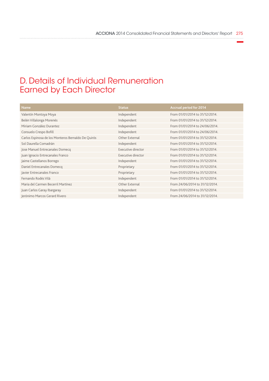# D. Details of Individual Remuneration Earned by Each Director

| Name                                               | <b>Status</b>      | <b>Accrual period for 2014</b> |
|----------------------------------------------------|--------------------|--------------------------------|
| Valentín Montoya Moya                              | Independent        | From 01/01/2014 to 31/12/2014. |
| Belén Villalonga Morenés                           | Independent        | From 01/01/2014 to 31/12/2014. |
| Miriam González Durantez                           | Independent        | From 01/01/2014 to 24/06/2014. |
| Consuelo Crespo Bofill                             | Independent        | From 01/01/2014 to 24/06/2014. |
| Carlos Espinosa de los Monteros Bernaldo De Quirós | Other External     | From 01/01/2014 to 31/12/2014. |
| Sol Daurella Comadrán                              | Independent        | From 01/01/2014 to 31/12/2014. |
| Jose Manuel Entrecanales Domecq                    | Executive director | From 01/01/2014 to 31/12/2014. |
| Juan Ignacio Entrecanales Franco                   | Executive director | From 01/01/2014 to 31/12/2014. |
| Jaime Castellanos Borrego                          | Independent        | From 01/01/2014 to 31/12/2014. |
| Daniel Entrecanales Domecq                         | Proprietary        | From 01/01/2014 to 31/12/2014. |
| Javier Entrecanales Franco                         | Proprietary        | From 01/01/2014 to 31/12/2014. |
| Fernando Rodés Vilà                                | Independent        | From 01/01/2014 to 31/12/2014. |
| Maria del Carmen Becerril Martínez                 | Other External     | From 24/06/2014 to 31/12/2014. |
| Juan Carlos Garay Ibargaray                        | Independent        | From 01/01/2014 to 31/12/2014. |
| Jerónimo Marcos Gerard Rivero                      | Independent        | From 24/06/2014 to 31/12/2014. |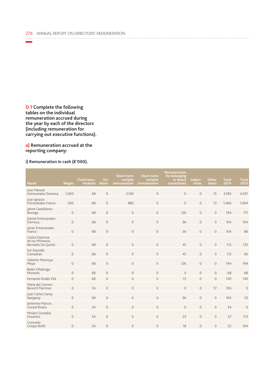**D.1 Complete the following tables on the individual remuneration accrued during the year by each of the directors (including remuneration for carrying out executive functions).**

**a) Remuneration accrued at the reporting company:**

## **i) Remuneration in cash (€'000).**

| <b>Name</b>                                              | <b>Wages</b>   | <b>Fixed remu-</b><br>neration | Per<br>diems        | Short-term<br>variable<br>remuneration | Short-term<br>variable<br>remuneration | <b>Remuneration</b><br>for belonging<br>to Board<br>committees | Indem-<br>nities | Other<br><b>items</b> | <b>Total</b><br>2014 | <b>Total</b><br>2013 |
|----------------------------------------------------------|----------------|--------------------------------|---------------------|----------------------------------------|----------------------------------------|----------------------------------------------------------------|------------------|-----------------------|----------------------|----------------------|
| Jose Manuel<br><b>Entrecanales Domecq</b>                | 1,000          | 68                             | $\overline{0}$      | 2,100                                  | $\mathsf{O}\xspace$                    | $\overline{0}$                                                 | $\overline{0}$   | 15                    | 3,183                | 4,051                |
| Juan Ignacio<br><b>Entrecanales Franco</b>               | 500            | 68                             | $\mathsf{O}\xspace$ | 885                                    | $\mathsf{O}\xspace$                    | $\mathsf{O}\xspace$                                            | $\overline{0}$   | 13                    | 1,466                | 1,604                |
| Jaime Castellanos<br>Borrego                             | $\mathbf 0$    | 68                             | $\mathsf{O}\xspace$ | $\circ$                                | $\mathsf{O}\xspace$                    | 126                                                            | $\mathbf 0$      | $\overline{0}$        | 194                  | 171                  |
| Daniel Entrecanales<br>Domecq                            | $\overline{0}$ | 68                             | $\mathbf{0}$        | $\circ$                                | $\mathbf{0}$                           | 36                                                             | $\overline{0}$   | $\mathbf{0}$          | 104                  | 104                  |
| Javier Entrecanales<br>Franco                            | $\overline{0}$ | 68                             | $\overline{0}$      | $\circ$                                | $\mathsf{O}\xspace$                    | 36                                                             | $\overline{0}$   | $\mathbf{0}$          | 104                  | 86                   |
| Carlos Espinosa<br>de los Monteros<br>Bernaldo De Quirós | $\overline{0}$ | 68                             | $\mathsf{O}\xspace$ | $\circ$                                | $\mathsf{O}\xspace$                    | 45                                                             | $\overline{0}$   | $\overline{0}$        | 113                  | 135                  |
| Sol Daurella<br>Comadrán                                 | $\circ$        | 68                             | $\mathbf{0}$        | $\mathbf{0}$                           | $\circ$                                | 45                                                             | $\overline{0}$   | $\mathbf{0}$          | 113                  | 90                   |
| Valentín Montoya<br>Moya                                 | $\mathbf 0$    | 68                             | $\mathsf{O}\xspace$ | $\circ$                                | $\mathsf{O}\xspace$                    | 126                                                            | $\mathbf 0$      | $\overline{0}$        | 194                  | 194                  |
| Belén Villalonga<br>Morenés                              | $\circ$        | 68                             | $\mathbf{0}$        | $\circ$                                | $\mathbf{0}$                           | $\overline{0}$                                                 | $\overline{0}$   | $\mathbf{0}$          | 68                   | 68                   |
| Fernando Rodés Vilà                                      | $\circ$        | 68                             | $\overline{0}$      | $\circ$                                | $\mathsf{O}\xspace$                    | 72                                                             | $\overline{0}$   | $\Omega$              | 140                  | 140                  |
| María del Carmen<br><b>Becerril Martínez</b>             | $\overline{0}$ | 34                             | $\overline{0}$      | $\circ$                                | $\mathsf{O}\xspace$                    | $\overline{0}$                                                 | $\overline{0}$   | 72                    | 106                  | $\mathbf 0$          |
| Juan Carlos Garay<br>Ibargaray                           | $\overline{0}$ | 68                             | $\mathbf{0}$        | $\circ$                                | $\circ$                                | 36                                                             | $\overline{0}$   | $\overline{0}$        | 104                  | 52                   |
| Jerónimo Marcos<br>Gerard Rivero                         | $\circ$        | 34                             | $\overline{0}$      | $\circ$                                | $\circ$                                | $\overline{0}$                                                 | $\overline{0}$   | $\overline{0}$        | 34                   | $\mathbf 0$          |
| Miriam González<br>Durantez                              | $\overline{0}$ | 34                             | $\overline{0}$      | $\circ$                                | $\circ$                                | 23                                                             | $\overline{0}$   | $\overline{0}$        | 57                   | 113                  |
| Consuelo<br>Crespo Bofill                                | $\overline{0}$ | 34                             | $\overline{0}$      | $\circ$                                | $\mathsf{O}\xspace$                    | 18                                                             | $\overline{0}$   | $\overline{0}$        | 52                   | 104                  |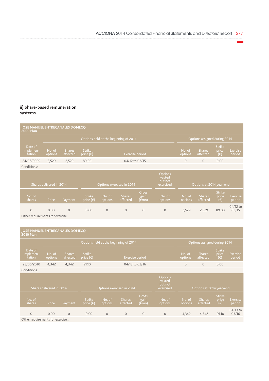## **ii) Share-based remuneration systems.**

| JOSE MANUEL ENTRECANALES DOMECQ<br><b>2009 Plan</b> |                          |                           |                                     |                   |                                       |                                |                                           |                   |                              |                                        |                           |
|-----------------------------------------------------|--------------------------|---------------------------|-------------------------------------|-------------------|---------------------------------------|--------------------------------|-------------------------------------------|-------------------|------------------------------|----------------------------------------|---------------------------|
|                                                     |                          |                           |                                     |                   | Options held at the beginning of 2014 |                                |                                           |                   | Options assigned during 2014 |                                        |                           |
| Date of<br>implemen-<br>tation                      | No. of<br>options        | <b>Shares</b><br>affected | <b>Strike</b><br>price $(\epsilon)$ |                   | Exercise period                       |                                |                                           | No. of<br>options | <b>Shares</b><br>affected    | <b>Strike</b><br>price<br>$(\epsilon)$ | <b>Exercise</b><br>period |
| 24/06/2009                                          | 2,529                    | 2,529                     | 89.00                               |                   | 04/12 to 03/15                        |                                |                                           | $\overline{0}$    | $\overline{0}$               | 0.00                                   |                           |
| Conditions: .                                       |                          |                           |                                     |                   |                                       |                                |                                           |                   |                              |                                        |                           |
|                                                     | Shares delivered in 2014 |                           |                                     |                   | Options exercised in 2014             |                                | Options<br>vested<br>but not<br>exercised |                   | Options at 2014 year-end     |                                        |                           |
| No. of<br>shares                                    | Price                    | Payment                   | <b>Strike</b><br>price $(\epsilon)$ | No. of<br>options | <b>Shares</b><br>affected             | <b>Gross</b><br>gain<br>(€̃mn) | No. of<br>options                         | No. of<br>options | <b>Shares</b><br>affected    | <b>Strike</b><br>price<br>$(\epsilon)$ | <b>Exercise</b><br>period |
| $\overline{0}$                                      | 0.00                     | $\mathbf{O}$              | 0.00                                | $\Omega$          | $\Omega$                              | $\overline{0}$                 | $\overline{0}$                            | 2,529             | 2,529                        | 89.00                                  | 04/12 to<br>03/15         |

Other requirements for exercise: .

#### **JOSE MANUEL ENTRECANALES DOMECQ 2010 Plan**

|                                    |                          |                           |                                     |                                                                        | Options held at the beginning of 2014 |                               |                   | Options assigned during 2014 |                           |                                        |                           |
|------------------------------------|--------------------------|---------------------------|-------------------------------------|------------------------------------------------------------------------|---------------------------------------|-------------------------------|-------------------|------------------------------|---------------------------|----------------------------------------|---------------------------|
| Date of<br>implemen-<br>tation     | No. of<br>options        | <b>Shares</b><br>affected | <b>Strike</b><br>price $(\epsilon)$ |                                                                        | Exercise period                       |                               |                   | No. of<br>options            | <b>Shares</b><br>affected | <b>Strike</b><br>price<br>$(\epsilon)$ | <b>Exercise</b><br>period |
| 23/06/2010                         | 4,342                    | 4,342                     | 91.10                               |                                                                        | 04/13 to 03/16                        |                               |                   | $\overline{0}$               | $\overline{0}$            | 0.00                                   |                           |
| Conditions: .                      |                          |                           |                                     |                                                                        |                                       |                               |                   |                              |                           |                                        |                           |
|                                    | Shares delivered in 2014 |                           |                                     | Options<br>vested<br>but not<br>Options exercised in 2014<br>exercised |                                       |                               |                   |                              | Options at 2014 year-end  |                                        |                           |
| No. of<br>shares                   | Price                    | Payment                   | <b>Strike</b><br>price $(\epsilon)$ | No. of<br>options                                                      | <b>Shares</b><br>affected             | <b>Gross</b><br>gain<br>(€mn) | No. of<br>options | No. of<br>options            | <b>Shares</b><br>affected | <b>Strike</b><br>price<br>$(\epsilon)$ | Exercise<br>period        |
| $\Omega$                           | 0.00                     | $\mathbf{0}$              | 0.00                                | $\mathbf{0}$                                                           | $\mathbf{O}$                          | $\mathbf{0}$                  | $\overline{0}$    | 4,342                        | 4,342                     | 91.10                                  | 04/13 to<br>03/16         |
| Other requirements for exercise: . |                          |                           |                                     |                                                                        |                                       |                               |                   |                              |                           |                                        |                           |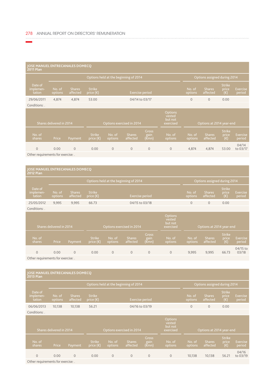#### **JOSE MANUEL ENTRECANALES DOMECQ 2011 Plan**

|                                |                   |                           |                                     | Options held at the beginning of 2014 |                                           |                   | Options assigned during 2014 |                                        |                    |
|--------------------------------|-------------------|---------------------------|-------------------------------------|---------------------------------------|-------------------------------------------|-------------------|------------------------------|----------------------------------------|--------------------|
| Date of<br>implemen-<br>tation | No. of<br>options | <b>Shares</b><br>affected | <b>Strike</b><br>price $(\epsilon)$ | Exercise period                       |                                           | No. of<br>options | <b>Shares</b><br>affected    | <b>Strike</b><br>price<br>$(\epsilon)$ | Exercise<br>period |
| 29/06/2011                     | 4.874             | 4.874                     | 53.00                               | 04/14 to 03/17                        |                                           | $\overline{0}$    | $\mathbf{0}$                 | 0.00                                   |                    |
| Conditions:                    |                   |                           |                                     |                                       |                                           |                   |                              |                                        |                    |
| Shares delivered in 2014       |                   |                           |                                     | Options exercised in 2014             | Options<br>vested<br>but not<br>exercised |                   | Options at 2014 year-end     |                                        |                    |

| No. of<br>shares | Price | Payment | <b>Strike</b><br>$price (E)$ options | No. of   | <b>Shares</b><br>affected | Gross<br>gain<br>$(\epsilon$ mn) | No. of J<br>options | No. of<br>options | <b>Shares</b><br>affected | <b>Strike</b><br><b>orice</b><br>$(\epsilon)$ | Exercise<br>period |
|------------------|-------|---------|--------------------------------------|----------|---------------------------|----------------------------------|---------------------|-------------------|---------------------------|-----------------------------------------------|--------------------|
|                  | 0.00  |         | 0.00                                 | $\Omega$ | $\Omega$                  | $\Omega$                         | $\cup$              | 4.874             | 4.874                     | 53.00                                         | 04/14<br>to 03/17  |

Other requirements for exercise: .

# **JOSE MANUEL ENTRECANALES DOMECQ 2012 Plan** Date of Strike (€) 25/05/2012 9,995 9,995 66.73 04/15 to 03/18 0 0 0.00

Conditions: .

|                                                         | Shares delivered in 2014 |                |                                     |                   | Options exercised in 2014 |                               | Options<br>vested<br>but not<br>exercised |                   | Options at 2014 year-end  |                                        |                    |
|---------------------------------------------------------|--------------------------|----------------|-------------------------------------|-------------------|---------------------------|-------------------------------|-------------------------------------------|-------------------|---------------------------|----------------------------------------|--------------------|
| No. of<br>shares                                        | Price                    | Payment        | <b>Strike</b><br>price $(\epsilon)$ | No. of<br>options | <b>Shares</b><br>affected | <b>Gross</b><br>gain<br>(€mn) | No. of<br>options                         | No. of<br>options | <b>Shares</b><br>affected | <b>Strike</b><br>price<br>$(\epsilon)$ | Exercise<br>period |
|                                                         | 0.00                     | $\overline{0}$ | 0.00                                | $\mathbf{0}$      | 0                         | $\mathbf{O}$                  | $\overline{0}$                            | 9,995             | 9,995                     | 66.73                                  | 04/15 to<br>03/18  |
| $\sim$ $\sim$ $\sim$ $\sim$ $\sim$ $\sim$ $\sim$ $\sim$ |                          |                |                                     |                   |                           |                               |                                           |                   |                           |                                        |                    |

Other requirements for exercise: .

| JOSE MANUEL ENTRECANALES DOMECQ<br><b>2013 Plan</b> |                                                       |                           |                                                                                                  |                          |                                       |                               |                   |                   |                              |                                        |                           |
|-----------------------------------------------------|-------------------------------------------------------|---------------------------|--------------------------------------------------------------------------------------------------|--------------------------|---------------------------------------|-------------------------------|-------------------|-------------------|------------------------------|----------------------------------------|---------------------------|
|                                                     |                                                       |                           |                                                                                                  |                          | Options held at the beginning of 2014 |                               |                   |                   | Options assigned during 2014 |                                        |                           |
| Date of<br>implemen-<br>tation                      | No. of<br>options                                     | <b>Shares</b><br>affected | <b>Strike</b><br>price $(\epsilon)$                                                              |                          |                                       | <b>Exercise period</b>        |                   | No. of<br>options | <b>Shares</b><br>affected    | <b>Strike</b><br>price<br>(€)          | Exercise<br>period        |
| 06/06/2013                                          | 10,138                                                | 10,138                    | 56.21                                                                                            |                          |                                       | 04/16 to 03/19                |                   | $\mathbf{0}$      | $\mathbf{0}$                 | 0.00                                   |                           |
| Conditions: .                                       |                                                       |                           |                                                                                                  |                          |                                       |                               |                   |                   |                              |                                        |                           |
|                                                     | Shares delivered in 2014<br>Options exercised in 2014 |                           |                                                                                                  |                          |                                       |                               |                   |                   | Options at 2014 year-end     |                                        |                           |
| No. of<br>shares                                    | Price                                                 | Payment                   | <b>Strike</b><br>$\overline{\mathsf{price}}\left(\mathsf{\mathsf{\mathsf{\mathfrak{C}}}}\right)$ | No. of<br><b>options</b> | <b>Shares</b><br>affected             | <b>Gross</b><br>gain<br>(€mn) | No. of<br>options | No. of<br>options | <b>Shares</b><br>affected    | <b>Strike</b><br>price<br>$(\epsilon)$ | <b>Exercise</b><br>period |
| $\mathbf{0}$                                        | 0.00                                                  | $\mathbf{0}$              | 0.00                                                                                             | $\overline{0}$           | $\mathbf{0}$                          | $\circ$                       | $\mathbf{0}$      | 10,138            | 10,138                       | 56.21                                  | 04/16<br>to 03/19         |
| Other requirements for exercise: .                  |                                                       |                           |                                                                                                  |                          |                                       |                               |                   |                   |                              |                                        |                           |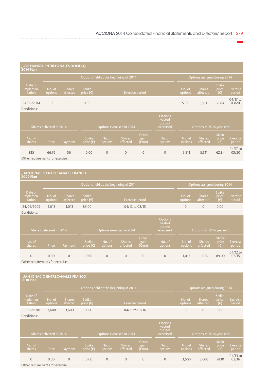| JOSE MANUEL ENTRECANALES DOMECQ<br><b>2014 Plan</b> |                          |                           |                                            |                                                                                                           |                                       |                                |                   |                   |                              |                                        |                           |
|-----------------------------------------------------|--------------------------|---------------------------|--------------------------------------------|-----------------------------------------------------------------------------------------------------------|---------------------------------------|--------------------------------|-------------------|-------------------|------------------------------|----------------------------------------|---------------------------|
|                                                     |                          |                           |                                            |                                                                                                           | Options held at the beginning of 2014 |                                |                   |                   | Options assigned during 2014 |                                        |                           |
| Date of<br>implemen-<br>tation                      | No. of<br>options        | <b>Shares</b><br>affected | <b>Strike</b><br>price $(\epsilon)^\prime$ |                                                                                                           | <b>Exercise period</b>                |                                |                   | No. of<br>options | <b>Shares</b><br>affected    | <b>Strike</b><br>price<br>(€)          | <b>Exercise</b><br>period |
| 24/06/2014<br>Conditions:                           | $\Omega$                 | $\Omega$                  | 0.00                                       |                                                                                                           | $\overline{\phantom{a}}$              |                                |                   | 5,511             | 5,511                        | 62.84                                  | 04/17 to<br>03/20         |
|                                                     | Shares delivered in 2014 |                           |                                            | <b>Options</b><br>vested<br>but not<br>Options at 2014 year-end<br>Options exercised in 2014<br>exercised |                                       |                                |                   |                   |                              |                                        |                           |
| No. of<br>shares                                    | Price                    | Payment                   | <b>Strike</b><br>price $(\epsilon)$        | No. of<br><b>options</b>                                                                                  | <b>Shares</b><br>affected             | <b>Gross</b><br>gain<br>(€̃mn) | No. of<br>options | No. of<br>options | <b>Shares</b><br>affected    | <b>Strike</b><br>price<br>$(\epsilon)$ | <b>Exercise</b><br>period |
| 835                                                 | 66.76                    | 56                        | 0.00                                       | $\Omega$                                                                                                  | $\overline{0}$                        | $\overline{0}$                 | $\overline{0}$    | 5,511             | 5,511                        | 62.84                                  | 04/17 to<br>03/20         |

Other requirements for exercise: .

| <b>JUAN IGNACIO ENTRECANALES FRANCO</b><br><b>2009 Plan</b> |                          |                           |                                     |                   |                                       |                                             |                                           |                   |                              |                                        |                           |
|-------------------------------------------------------------|--------------------------|---------------------------|-------------------------------------|-------------------|---------------------------------------|---------------------------------------------|-------------------------------------------|-------------------|------------------------------|----------------------------------------|---------------------------|
|                                                             |                          |                           |                                     |                   | Options held at the beginning of 2014 |                                             |                                           |                   | Options assigned during 2014 |                                        |                           |
| Date of<br>implemen-<br>tation                              | No. of<br>options        | <b>Shares</b><br>affected | <b>Strike</b><br>price $(\epsilon)$ |                   | <b>Exercise period</b>                |                                             |                                           | No. of<br>options | <b>Shares</b><br>affected    | <b>Strike</b><br>price<br>$(\epsilon)$ | <b>Exercise</b><br>period |
| 24/06/2009                                                  | 1,013                    | 1,013                     | 89.00                               |                   | 04/12 to 03/15                        |                                             |                                           | $\mathbf{O}$      | $\mathbf{0}$                 | 0.00                                   |                           |
| Conditions: .                                               |                          |                           |                                     |                   |                                       |                                             |                                           |                   |                              |                                        |                           |
|                                                             | Shares delivered in 2014 |                           |                                     |                   | Options exercised in 2014             |                                             | Options<br>vested<br>but not<br>exercised |                   | Options at 2014 year-end     |                                        |                           |
| No. of<br>shares                                            | Price                    | Payment                   | <b>Strike</b><br>price $(\epsilon)$ | No. of<br>options | <b>Shares</b><br>affected             | <b>Gross</b><br>gain <sup>1</sup><br>(€̃mn) | No. of<br>options                         | No. of<br>options | <b>Shares</b><br>affected    | <b>Strike</b><br>price<br>$(\epsilon)$ | <b>Exercise</b><br>period |
| 0                                                           | 0.00                     | $\overline{0}$            | 0.00                                | $\overline{0}$    | $\overline{0}$                        | $\overline{0}$                              | $\mathbf 0$                               | 1,013             | 1,013                        | 89.00                                  | 04/12 to<br>03/15         |

Other requirements for exercise: .

| <b>JUAN IGNACIO ENTRECANALES FRANCO</b><br><b>2010 Plan</b>                                                                           |                   |                           |                                     |                          |                                       |                                |                   |                   |                              |                                        |                           |
|---------------------------------------------------------------------------------------------------------------------------------------|-------------------|---------------------------|-------------------------------------|--------------------------|---------------------------------------|--------------------------------|-------------------|-------------------|------------------------------|----------------------------------------|---------------------------|
|                                                                                                                                       |                   |                           |                                     |                          | Options held at the beginning of 2014 |                                |                   |                   | Options assigned during 2014 |                                        |                           |
| Date of<br>implemen-<br>tation                                                                                                        | No. of<br>options | <b>Shares</b><br>affected | <b>Strike</b><br>price $(\epsilon)$ |                          | <b>Exercise period</b>                |                                |                   | No. of<br>options | <b>Shares</b><br>affected    | <b>Strike</b><br>price<br>$(\epsilon)$ | <b>Exercise</b><br>period |
| 23/06/2010                                                                                                                            | 3,600             | 3,600                     | 91.10                               |                          | 04/13 to 03/16                        |                                |                   | $\mathbf{O}$      | $\overline{0}$               | 0.00                                   |                           |
| Conditions:                                                                                                                           |                   |                           |                                     |                          |                                       |                                |                   |                   |                              |                                        |                           |
| <b>Options</b><br>vested<br>but not<br>Shares delivered in 2014<br>Options exercised in 2014<br>exercised<br>Options at 2014 year-end |                   |                           |                                     |                          |                                       |                                |                   |                   |                              |                                        |                           |
| No. of<br>shares                                                                                                                      | Price             | Payment                   | <b>Strike</b><br>price $(\epsilon)$ | No. of<br><b>options</b> | <b>Shares</b><br>affected             | <b>Gross</b><br>gain<br>(€̃mn) | No. of<br>options | No. of<br>options | <b>Shares</b><br>affected    | <b>Strike</b><br>price<br>$(\epsilon)$ | <b>Exercise</b><br>period |
| $\Omega$                                                                                                                              | 0.00              | $\overline{0}$            | 0.00                                | $\overline{0}$           | $\mathbf{O}$                          | $\mathbf{O}$                   | $\overline{0}$    | 3,600             | 3,600                        | 91.10                                  | 04/13 to<br>03/16         |
| Other requirements for exercise: .                                                                                                    |                   |                           |                                     |                          |                                       |                                |                   |                   |                              |                                        |                           |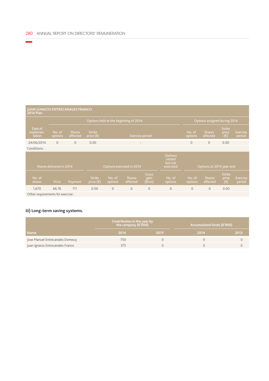#### **JUAN IGNACIO ENTRECANALES FRANCO 2014 Plan**

| ZV 14 FIGHT                                            |                          |                           |                                                                        |                              |                           |                               |                   |                          |                           |                                        |                           |
|--------------------------------------------------------|--------------------------|---------------------------|------------------------------------------------------------------------|------------------------------|---------------------------|-------------------------------|-------------------|--------------------------|---------------------------|----------------------------------------|---------------------------|
|                                                        |                          |                           | Options held at the beginning of 2014                                  | Options assigned during 2014 |                           |                               |                   |                          |                           |                                        |                           |
| Date of<br>implemen-<br>tation                         | No. of<br>options        | <b>Shares</b><br>affected | <b>Strike</b><br>price $(\epsilon)$                                    |                              | <b>Exercise period</b>    |                               |                   | No. of<br>options        | <b>Shares</b><br>affected | <b>Strike</b><br>price<br>$(\epsilon)$ | <b>Exercise</b><br>period |
| 24/06/2014                                             | $\overline{O}$           | $\overline{0}$            | 0.00                                                                   | $\qquad \qquad -$            |                           |                               |                   |                          | $\mathbf{0}$              | 0.00                                   |                           |
| Conditions: .                                          |                          |                           |                                                                        |                              |                           |                               |                   |                          |                           |                                        |                           |
|                                                        | Shares delivered in 2014 |                           | Options<br>vested<br>but not<br>Options exercised in 2014<br>exercised |                              |                           |                               |                   | Options at 2014 year-end |                           |                                        |                           |
| No. of<br>shares                                       | Price                    | Payment                   | <b>Strike</b><br>price $(\epsilon)$                                    | No. of<br>options            | <b>Shares</b><br>affected | <b>Gross</b><br>gain<br>(€mn) | No. of<br>options | No. of<br>options        | <b>Shares</b><br>affected | <b>Strike</b><br>price<br>$(\epsilon)$ | Exercise<br>period        |
| 1,670                                                  | 66.76                    | 111                       | 0.00                                                                   | $\overline{0}$               | $\mathbf{O}$              | $\mathbf{0}$                  | $\mathbf{0}$      | $\mathbf{0}$             | $\mathbf{O}$              | 0.00                                   |                           |
| $\bigcap$ there are no integrate that from accountance |                          |                           |                                                                        |                              |                           |                               |                   |                          |                           |                                        |                           |

Other requirements for exercise: .

## **iii) Long-term saving systems.**

|                                  | Contribution in the year by<br>the company ( $\varepsilon$ '000) |      | Accumulated funds ( $\varepsilon$ '000) |      |  |  |  |
|----------------------------------|------------------------------------------------------------------|------|-----------------------------------------|------|--|--|--|
| <b>Name</b>                      | 2014                                                             | 2013 | 2014                                    | 2013 |  |  |  |
| Jose Manuel Entrecanales Domecq  | 750                                                              |      |                                         |      |  |  |  |
| Juan Ignacio Entrecanales Franco | 375                                                              |      |                                         |      |  |  |  |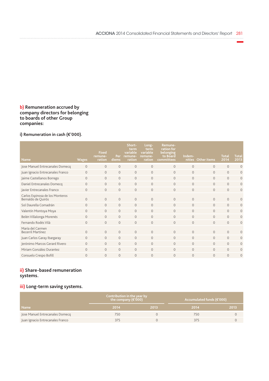### **b) Remuneration accrued by company directors for belonging to boards of other Group companies:**

# **i) Remuneration in cash (€'000).**

| <b>Name</b>                                           | <b>Wages</b>   | <b>Fixed</b><br>remune-<br>ration | Per<br>diems   | Short-<br>term<br>variable<br>remune-<br>ration | Long-<br>term<br>variable<br>remune-<br>ration | Remune-<br>ration for<br>belonging<br>to Board<br>committees | Indem-<br>nities | <b>Other items</b> | <b>Total</b><br>2014 | <b>Total</b><br>2013 |
|-------------------------------------------------------|----------------|-----------------------------------|----------------|-------------------------------------------------|------------------------------------------------|--------------------------------------------------------------|------------------|--------------------|----------------------|----------------------|
| Jose Manuel Entrecanales Domecq                       | $\overline{0}$ | $\mathbf{0}$                      | $\mathbf{O}$   | $\mathbf{0}$                                    | $\mathbf{O}$                                   | $\mathbf{O}$                                                 | $\mathbf{0}$     | $\mathbf{0}$       | $\mathbf{0}$         | $\overline{0}$       |
| Juan Ignacio Entrecanales Franco                      | $\overline{0}$ | $\circ$                           | $\mathbf{0}$   | $\mathbf{0}$                                    | $\mathbf{0}$                                   | $\mathbf{0}$                                                 | $\mathbf{0}$     | $\Omega$           | $\circ$              | 0                    |
| Jaime Castellanos Borrego                             | 0              | $\circ$                           | $\Omega$       | $\overline{0}$                                  | $\circ$                                        | $\mathbf{O}$                                                 | $\overline{0}$   | $\Omega$           | $\overline{0}$       | 0                    |
| Daniel Entrecanales Domecq                            | $\Omega$       | $\Omega$                          | $\Omega$       | $\Omega$                                        | $\Omega$                                       | $\Omega$                                                     | $\Omega$         | $\Omega$           | $\Omega$             | $\overline{0}$       |
| Javier Entrecanales Franco                            | $\Omega$       | $\Omega$                          | $\Omega$       | $\mathbf{0}$                                    | $\circ$                                        | $\Omega$                                                     | $\Omega$         | $\Omega$           | $\mathbf{0}$         | $\overline{0}$       |
| Carlos Espinosa de los Monteros<br>Bernaldo de Quirós | 0              | $\Omega$                          | $\overline{0}$ | $\overline{0}$                                  | $\overline{0}$                                 | $\Omega$                                                     | $\Omega$         | $\Omega$           | $\mathbf{0}$         | $\Omega$             |
| Sol Daurella Comadrán                                 | $\Omega$       | $\Omega$                          | $\Omega$       | $\Omega$                                        | $\Omega$                                       | $\Omega$                                                     | $\Omega$         | $\Omega$           | $\Omega$             | 0                    |
| Valentín Montoya Moya                                 | $\overline{0}$ | $\Omega$                          | $\Omega$       | $\Omega$                                        | $\Omega$                                       | $\Omega$                                                     | $\Omega$         | $\Omega$           | $\circ$              | 0                    |
| Belén Villalonga Morenés                              | $\Omega$       | $\Omega$                          | $\Omega$       | $\Omega$                                        | $\Omega$                                       | $\Omega$                                                     | $\Omega$         | $\Omega$           | $\Omega$             | $\overline{0}$       |
| Fernando Rodés Vilà                                   | $\Omega$       | $\Omega$                          | $\Omega$       | $\mathbf{O}$                                    | $\Omega$                                       | $\Omega$                                                     | $\Omega$         | $\Omega$           | $\Omega$             | $\overline{0}$       |
| María del Carmen<br><b>Becerril Martínez</b>          | $\Omega$       | $\Omega$                          | $\overline{0}$ | $\Omega$                                        | $\Omega$                                       | $\Omega$                                                     | $\Omega$         | $\Omega$           | $\mathbf{0}$         | $\Omega$             |
| Juan Carlos Garay Ibargaray                           | $\Omega$       | $\Omega$                          | $\Omega$       | $\circ$                                         | $\circ$                                        | $\Omega$                                                     | $\Omega$         | $\Omega$           | $\Omega$             | 0                    |
| Jerónimo Marcos Gerard Rivero                         | $\Omega$       | $\Omega$                          | $\Omega$       | $\overline{0}$                                  | $\mathbf{0}$                                   | $\Omega$                                                     | $\Omega$         | $\Omega$           | $\Omega$             | 0                    |
| Miriam González Durantez                              | $\Omega$       | $\Omega$                          | $\mathbf{O}$   | $\overline{0}$                                  | $\mathbf{0}$                                   | $\Omega$                                                     | $\Omega$         | $\Omega$           | $\overline{0}$       | 0                    |
| Consuelo Crespo Bofill                                | $\Omega$       | $\Omega$                          | $\Omega$       | $\overline{0}$                                  | $\overline{0}$                                 | $\Omega$                                                     | $\Omega$         | $\Omega$           | $\overline{0}$       | $\overline{0}$       |

## **ii) Share-based remuneration systems.**

## **iii) Long-term saving systems.**

|                                  | Contribution in the year by<br>the company ( $\varepsilon$ '000) |      | Accumulated funds (€'000) |      |  |  |  |
|----------------------------------|------------------------------------------------------------------|------|---------------------------|------|--|--|--|
| <b>Name</b>                      | 2014                                                             | 2013 | 2014                      | 2013 |  |  |  |
| Jose Manuel Entrecanales Domecq  | 750                                                              |      | 750.                      |      |  |  |  |
| Juan Ignacio Entrecanales Franco | 375                                                              |      |                           |      |  |  |  |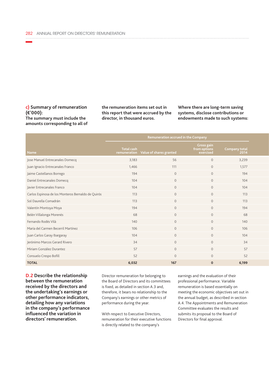#### **c) Summary of remuneration (€'000): The summary must include the amounts corresponding to all of**

**the remuneration items set out in this report that were accrued by the director, in thousand euros.**

**Where there are long-term saving systems, disclose contributions or endowments made to such systems:**

|                                                    | Remuneration accrued in the Company                       |                |                                                |                       |
|----------------------------------------------------|-----------------------------------------------------------|----------------|------------------------------------------------|-----------------------|
| Name                                               | <b>Total cash</b><br>remuneration Value of shares granted |                | <b>Gross gain</b><br>from options<br>exercised | Company total<br>2014 |
| Jose Manuel Entrecanales Domecq                    | 3,183                                                     | 56             | $\circ$                                        | 3,239                 |
| Juan Ignacio Entrecanales Franco                   | 1,466                                                     | 111            | $\circ$                                        | 1,577                 |
| Jaime Castellanos Borrego                          | 194                                                       | $\circ$        | $\circ$                                        | 194                   |
| Daniel Entrecanales Domecq                         | 104                                                       | $\overline{0}$ | $\circ$                                        | 104                   |
| Javier Entrecanales Franco                         | 104                                                       | $\circ$        | $\circ$                                        | 104                   |
| Carlos Espinosa de los Monteros Bernaldo de Quirós | 113                                                       | $\overline{0}$ | $\circ$                                        | 113                   |
| Sol Daurella Comadrán                              | 113                                                       | $\Omega$       | $\circ$                                        | 113                   |
| Valentín Montoya Moya                              | 194                                                       | $\Omega$       | $\circ$                                        | 194                   |
| Belén Villalonga Morenés                           | 68                                                        | $\Omega$       | $\circ$                                        | 68                    |
| Fernando Rodés Vilà                                | 140                                                       | $\Omega$       | $\overline{0}$                                 | 140                   |
| María del Carmen Becerril Martínez                 | 106                                                       | $\Omega$       | $\overline{0}$                                 | 106                   |
| Juan Carlos Garay Ibargaray                        | 104                                                       | $\Omega$       | $\circ$                                        | 104                   |
| Jerónimo Marcos Gerard Rivero                      | 34                                                        | $\Omega$       | $\circ$                                        | 34                    |
| Miriam González Durantez                           | 57                                                        | $\Omega$       | $\circ$                                        | 57                    |
| Consuelo Crespo Bofill                             | 52                                                        | $\Omega$       | $\circ$                                        | 52                    |
| <b>TOTAL</b>                                       | 6,032                                                     | 167            | $\mathbf{0}$                                   | 6,199                 |

**D.2 Describe the relationship between the remuneration received by the directors and the undertaking's earnings or other performance indicators, detailing how any variations in the company's performance influenced the variation in directors' remuneration.**

Director remuneration for belonging to the Board of Directors and its committees is fixed, as detailed in section A.3 and, therefore, it bears no relationship to the Company's earnings or other metrics of performance during the year.

With respect to Executive Directors, remuneration for their executive functions is directly related to the company's

earnings and the evaluation of their professional performance. Variable remuneration is based essentially on meeting the economic objectives set out in the annual budget, as described in section A.4. The Appointments and Remuneration Committee evaluates the results and submits its proposal to the Board of Directors for final approval.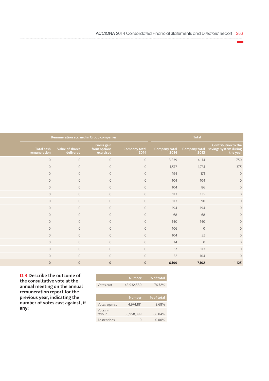| Remuneration accrued in Group companies |               |                |       | Total |                                                                                            |
|-----------------------------------------|---------------|----------------|-------|-------|--------------------------------------------------------------------------------------------|
| Gross gain<br>from options<br>exercised | Company total | $2014$         |       |       | Contribution to the<br>Company total Company total savings system during<br>the year 12013 |
| $\overline{0}$                          |               | $\overline{0}$ | 3,239 | 4,114 | 750                                                                                        |
| $\circ$                                 |               | $\overline{0}$ | 1,577 | 1,731 | 375                                                                                        |
| $\circ$                                 |               | $\overline{0}$ | 194   | 171   |                                                                                            |
| $\circ$                                 |               | $\overline{0}$ | 104   | 104   |                                                                                            |
| $\circ$                                 |               | $\overline{0}$ | 104   | 86    |                                                                                            |
| $\circ$                                 |               | $\overline{0}$ | 113   | 135   |                                                                                            |
| $\overline{0}$                          |               | $\overline{0}$ | 113   | 90    |                                                                                            |
| $\overline{0}$                          |               | $\overline{0}$ | 194   | 194   |                                                                                            |
| $\circ$                                 |               | $\circ$        | 68    | 68    |                                                                                            |
| $\circ$                                 |               | $\overline{0}$ | 140   | 140   |                                                                                            |
| $\circ$                                 |               | $\overline{0}$ | 106   |       | $\overline{0}$                                                                             |
| $\circ$                                 |               | $\overline{0}$ | 104   | 52    |                                                                                            |
| $\overline{0}$                          |               | $\overline{0}$ | 34    |       | $\circ$                                                                                    |
| $\overline{0}$                          |               | $\overline{0}$ | 57    | 113   |                                                                                            |
| $\circ$                                 |               | $\overline{0}$ | 52    | 104   |                                                                                            |
| $\mathbf{0}$                            |               | $\overline{0}$ | 6,199 | 7,102 |                                                                                            |

**D.3 Describe the outcome of the consultative vote at the annual meeting on the annual remuneration report for the previous year, indicating the number of votes cast against, if any:**

|                    | <b>Number</b> | % of total |
|--------------------|---------------|------------|
| Votes cast         | 43,932,580    | 76.72%     |
|                    |               |            |
|                    | <b>Number</b> | % of total |
| Votes against      | 4,974,181     | 8.68%      |
| Votes in<br>favour | 38,958,399    | 68.04%     |
| Abstentions        |               | $0.00\%$   |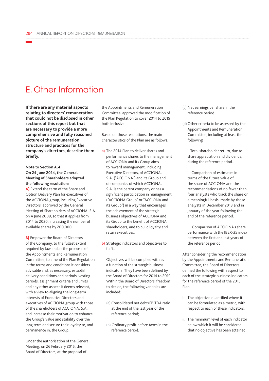# E. Other Information

**If there are any material aspects relating to directors' remuneration that could not be disclosed in other sections of this report but that are necessary to provide a more comprehensive and fully reasoned picture of the remuneration structure and practices for the company's directors, describe them briefly.**

#### **Note to Section A.4. On 24 June 2014, the General Meeting of Shareholders adopted the following resolution:**

**A)** Extend the term of the Share and Option Delivery Plan for executives of the ACCIONA group, including Executive Directors, approved by the General Meeting of Shareholders of ACCIONA, S.A. on 4 June 2009, so that it applies from 2014 to 2020, increasing the number of available shares by 200,000.

**B)** Empower the Board of Directors of the Company, to the fullest extent required by law and at the proposal of the Appointments and Remuneration Committee, to amend the Plan Regulation, in the terms and conditions it considers advisable and, as necessary, establish delivery conditions and periods, vesting periods, assignment criteria and limits and any other aspect it deems relevant, with a view to aligning the long-term interests of Executive Directors and executives of ACCIONA group with those of the shareholders of ACCIONA, S.A. and increase their motivation to enhance the Group's value and stability over the long term and secure their loyalty to, and permanence in, the Group.

Under the authorisation of the General Meeting, on 26 February 2015, the Board of Directors, at the proposal of

the Appointments and Remuneration Committee, approved the modification of the Plan Regulation to cover 2014 to 2019, both inclusive.

Based on those resolutions, the main characteristics of the Plan are as follows:

- a) The 2014 Plan to deliver shares and performance shares to the management of ACCIONA and its Group aims to reward management, including Executive Directors, of ACCIONA, S.A. ("ACCIONA") and its Group and of companies of which ACCIONA, S.A. is the parent company or has a significant participation in management ("ACCIONA Group" or "ACCIONA and its Group") in a way that encourages the achievement of the strategic business objectives of ACCIONA and its Group to the benefit of ACCIONA shareholders, and to build loyalty and retain executives.
- b) Strategic indicators and objectives to fulfil.

Objectives will be complied with as a function of the strategic business indicators. They have been defined by the Board of Directors for 2014 to 2019. Within the Board of Directors' freedom to decide, the following variables are included:

- (a) Consolidated net debt/EBITDA ratio at the end of the last year of the reference period;
- (b) Ordinary profit before taxes in the reference period.
- (c) Net earnings per share in the reference period.
- (d) Other criteria to be assessed by the Appointments and Remuneration Committee, including at least the following:

i. Total shareholder return, due to share appreciation and dividends, during the reference period.

ii. Comparison of estimates in terms of the future value of the share of ACCIONA and the recommendations of no fewer than four analysts who track the share on a meaningful basis, made by those analysts in December 2013 and in January of the year following the end of the reference period.

iii. Comparison of ACCIONA's share performance with the IBEX-35 index between the first and last years of the reference period.

After considering the recommendation by the Appointments and Remuneration Committee, the Board of Directors defined the following with respect to each of the strategic business indicators for the reference period of the 2015 Plan:

- i. The objective, quantified where it can be formulated as a metric, with respect to each of these indicators.
- ii. The minimum level of each indicator below which it will be considered that no objective has been attained.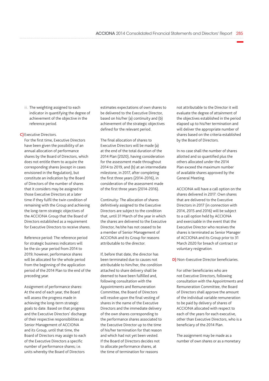- iii. The weighting assigned to each indicator in quantifying the degree of achievement of the objective in the reference period.
- **C)** Executive Directors.

For the first time, Executive Directors have been given the possibility of an annual allocation of performance shares by the Board of Directors, which does not entitle them to acquire the corresponding shares (except in cases envisioned in the Regulation), but constitute an indication by the Board of Directors of the number of shares that it considers may be assigned to those Executive Directors at a later time if they fulfil the twin condition of remaining with the Group and achieving the long-term strategic objectives of the ACCIONA Group that the Board of Directors established as a requirement for Executive Directors to receive shares.

Reference period: The reference period for strategic business indicators will be the six-year period from 2014 to 2019; however, performance shares will be allocated for the whole period from the beginning of the application period of the 2014 Plan to the end of the preceding year.

Assignment of performance shares: At the end of each year, the Board will assess the progress made in achieving the long-term strategic goals to date. Based on that progress and the Executive Directors' discharge of their respective responsibilities as Senior Management of ACCIONA and its Group, until that time, the Board of Directors may assign to each of the Executive Directors a specific number of performance shares; i.e. units whereby the Board of Directors

estimates expectations of own shares to be delivered to the Executive Director, based on his/her (a) continuity and (b) achievement of the strategic objectives defined for the relevant period.

The final allocation of shares to Executive Directors will be made (a) at the end of the total duration of the 2014 Plan (2020), having consideration for the assessment made throughout 2014 to 2019, and (b) at an intermediate milestone, in 2017, after completing the first three years (2014-2016), in consideration of the assessment made of the first three years (2014-2016).

Continuity: The allocation of shares definitively assigned to the Executive Directors are subject to the condition that, until 31 March of the year in which the shares are delivered to the Executive Director, he/she has not ceased to be a member of Senior Management of ACCIONA and its Group for reasons attributable to the director.

If, before that date, the director has been terminated due to causes not attributable to him/her, the condition attached to share delivery shall be deemed to have been fulfilled and, following consultation with the Appointments and Remuneration Committee, the Board of Directors will resolve upon the final vesting of shares in the name of the Executive Directors and the immediate delivery of the own shares corresponding to the performance shares associated to the Executive Director up to the time of his/her termination for that reason and which had not yet been vested. If the Board of Directors decides not to allocate performance shares, at the time of termination for reasons

not attributable to the Director it will evaluate the degree of attainment of the objectives established in the period elapsed up to his/her termination and will deliver the appropriate number of shares based on the criteria established by the Board of Directors.

In no case shall the number of shares allotted and so quantified plus the others allocated under the 2014 Plan exceed the maximum number of available shares approved by the General Meeting.

ACCIONA will have a call option on the shares delivered in 2017: Own shares that are delivered to the Executive Directors in 2017 (in connection with 2014, 2015 and 2016) will be subject to a call option held by ACCIONA and exercisable in the event that the Executive Director who receives the shares is terminated as Senior Manager of ACCIONA and its Group prior to 31 March 2020 for breach of contract or voluntary resignation.

**D)** Non-Executive Director beneficiaries.

For other beneficiaries who are not Executive Directors, following consultation with the Appointments and Remuneration Committee, the Board of Directors shall approve the amount of the individual variable remuneration to be paid by delivery of shares of ACCIONA allocated with respect to each of the years for each executive, other than Executive Directors, who is a beneficiary of the 2014 Plan.

The assignment may be made as a number of own shares or as a monetary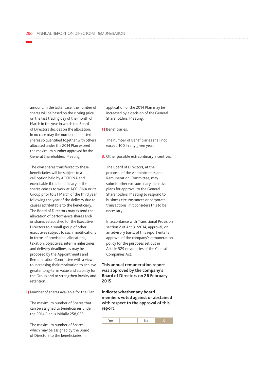amount. In the latter case, the number of shares will be based on the closing price on the last trading day of the month of March in the year in which the Board of Directors decides on the allocation. In no case may the number of allotted shares so quantified together with others allocated under the 2014 Plan exceed the maximum number approved by the General Shareholders' Meeting.

The own shares transferred to these beneficiaries will be subject to a call option held by ACCIONA and exercisable if the beneficiary of the shares ceases to work at ACCIONA or its Group prior to 31 March of the third year following the year of the delivery due to causes attributable to the beneficiary. The Board of Directors may extend the allocation of performance shares and/ or shares established for the Executive Directors to a small group of other executives subject to such modifications in terms of provisional allocations, taxation, objectives, interim milestones and delivery deadlines as may be proposed by the Appointments and Remuneration Committee with a view to increasing their motivation to achieve greater long-term value and stability for the Group and to strengthen loyalty and retention.

**E)** Number of shares available for the Plan.

The maximum number of Shares that can be assigned to beneficiaries under the 2014 Plan is initially 258,035.

The maximum number of Shares which may be assigned by the Board of Directors to the beneficiaries in

application of the 2014 Plan may be increased by a decision of the General Shareholders' Meeting.

**F)** Beneficiaries.

The number of Beneficiaries shall not exceed 100 in any given year.

**3.** Other possible extraordinary incentives.

The Board of Directors, at the proposal of the Appointments and Remuneration Committee, may submit other extraordinary incentive plans for approval to the General Shareholders' Meeting to respond to business circumstances or corporate transactions, if it considers this to be necessary.

In accordance with Transitional Provision section 2 of Act 31/2014, approval, on an advisory basis, of this report entails approval of the company's remuneration policy for the purposes set out in Article 529 novodecies of the Capital Companies Act.

#### **This annual remuneration report was approved by the company's Board of Directors on 26 February 2015.**

**Indicate whether any board members voted against or abstained with respect to the approval of this report.**